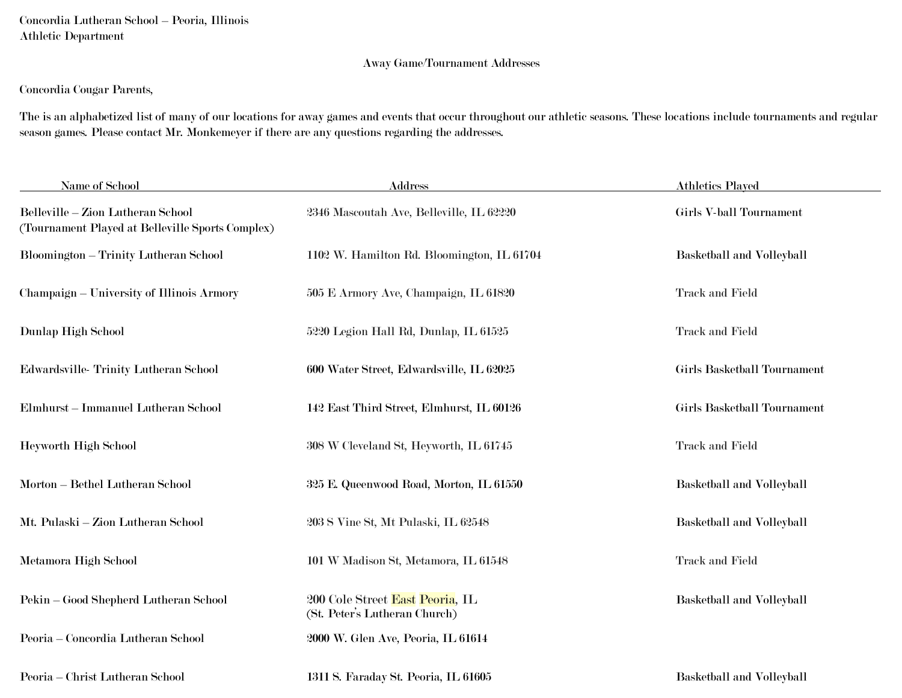Concordia Lutheran School – Peoria, Illinois Athletic Department

## Away Game/Tournament Addresses

## Concordia Cougar Parents,

The is an alphabetized list of many of our locations for away games and events that occur throughout our athletic seasons. These locations include tournaments and regular season games. Please contact Mr. Monkemeyer if there are any questions regarding the addresses.

| Name of School                                                                        | <b>Address</b>                                                   | <b>Athletics Played</b>     |
|---------------------------------------------------------------------------------------|------------------------------------------------------------------|-----------------------------|
| Belleville - Zion Lutheran School<br>(Tournament Played at Belleville Sports Complex) | 2346 Mascoutah Ave, Belleville, IL 62220                         | Girls V-ball Tournament     |
| <b>Bloomington - Trinity Lutheran School</b>                                          | 1102 W. Hamilton Rd. Bloomington, IL 61704                       | Basketball and Volleyball   |
| Champaign – University of Illinois Armory                                             | 505 E Armory Ave, Champaign, IL 61820                            | <b>Track and Field</b>      |
| Dunlap High School                                                                    | 5220 Legion Hall Rd, Dunlap, IL 61525                            | <b>Track and Field</b>      |
| Edwardsville-Trinity Lutheran School                                                  | 600 Water Street, Edwardsville, IL 62025                         | Girls Basketball Tournament |
| Elmhurst – Immanuel Lutheran School                                                   | 142 East Third Street, Elmhurst, IL 60126                        | Girls Basketball Tournament |
| Heyworth High School                                                                  | $308$ W Cleveland St, Heyworth, IL $61745$                       | <b>Track and Field</b>      |
| Morton - Bethel Lutheran School                                                       | 325 E. Queenwood Road, Morton, IL 61550                          | Basketball and Volleyball   |
| Mt. Pulaski - Zion Lutheran School                                                    | 203 S Vine St, Mt Pulaski, IL 62548                              | Basketball and Volleyball   |
| Metamora High School                                                                  | 101 W Madison St, Metamora, IL 61548                             | <b>Track and Field</b>      |
| Pekin - Good Shepherd Lutheran School                                                 | 200 Cole Street East Peoria, IL<br>(St. Peter's Lutheran Church) | Basketball and Volleyball   |
| Peoria - Concordia Lutheran School                                                    | 2000 W. Glen Ave, Peoria, IL 61614                               |                             |
| Peoria – Christ Lutheran School                                                       | 1311 S. Faraday St. Peoria, IL 61605                             | Basketball and Volleyball   |